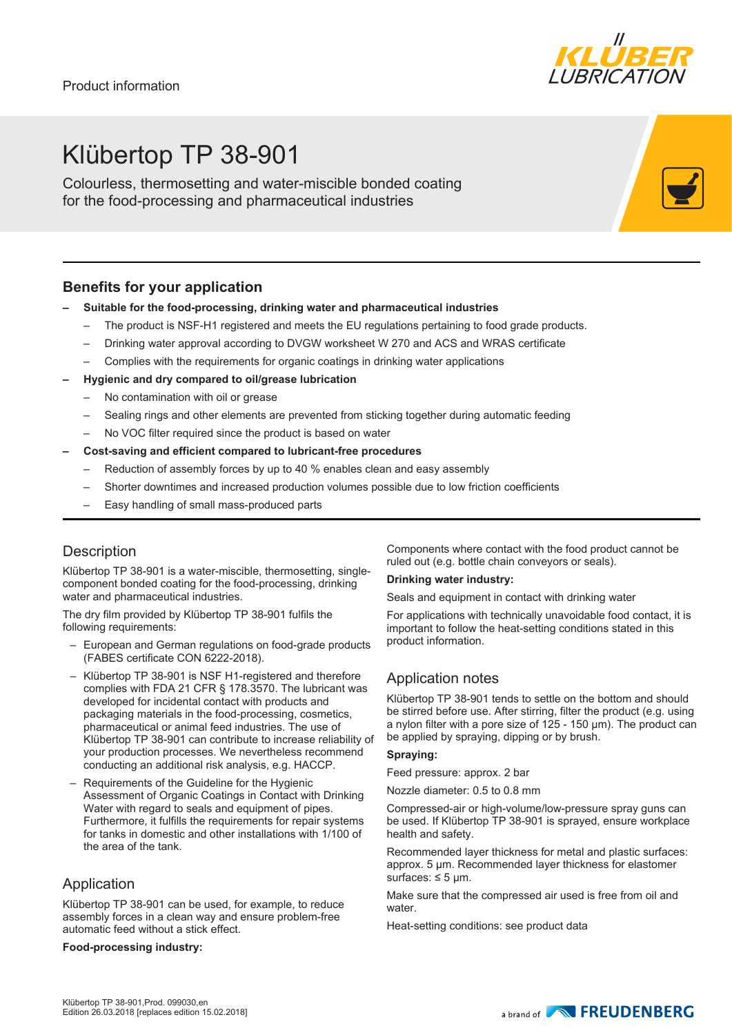

## Klübertop TP 38-901

Colourless, thermosetting and water-miscible bonded coating for the food-processing and pharmaceutical industries

## **Benefits for your application**

#### **– Suitable for the food-processing, drinking water and pharmaceutical industries**

- The product is NSF-H1 registered and meets the EU regulations pertaining to food grade products.
- Drinking water approval according to DVGW worksheet W 270 and ACS and WRAS certificate
- Complies with the requirements for organic coatings in drinking water applications
- **– Hygienic and dry compared to oil/grease lubrication**
	- No contamination with oil or grease
	- Sealing rings and other elements are prevented from sticking together during automatic feeding
	- No VOC filter required since the product is based on water

#### **– Cost-saving and efficient compared to lubricant-free procedures**

- Reduction of assembly forces by up to 40 % enables clean and easy assembly
- Shorter downtimes and increased production volumes possible due to low friction coefficients
- Easy handling of small mass-produced parts

## **Description**

Klübertop TP 38-901 is a water-miscible, thermosetting, singlecomponent bonded coating for the food-processing, drinking water and pharmaceutical industries.

The dry film provided by Klübertop TP 38-901 fulfils the following requirements:

- European and German regulations on food-grade products (FABES certificate CON 6222-2018).
- Klübertop TP 38-901 is NSF H1-registered and therefore complies with FDA 21 CFR § 178.3570. The lubricant was developed for incidental contact with products and packaging materials in the food-processing, cosmetics, pharmaceutical or animal feed industries. The use of Klübertop TP 38-901 can contribute to increase reliability of your production processes. We nevertheless recommend conducting an additional risk analysis, e.g. HACCP.
- Requirements of the Guideline for the Hygienic Assessment of Organic Coatings in Contact with Drinking Water with regard to seals and equipment of pipes. Furthermore, it fulfills the requirements for repair systems for tanks in domestic and other installations with 1/100 of the area of the tank.

## Application

Klübertop TP 38-901 can be used, for example, to reduce assembly forces in a clean way and ensure problem-free automatic feed without a stick effect.

#### **Food-processing industry:**

Components where contact with the food product cannot be ruled out (e.g. bottle chain conveyors or seals).

#### **Drinking water industry:**

Seals and equipment in contact with drinking water

For applications with technically unavoidable food contact, it is important to follow the heat-setting conditions stated in this product information.

## Application notes

Klübertop TP 38-901 tends to settle on the bottom and should be stirred before use. After stirring, filter the product (e.g. using a nylon filter with a pore size of 125 - 150 μm). The product can be applied by spraying, dipping or by brush.

#### **Spraying:**

Feed pressure: approx. 2 bar

Nozzle diameter: 0.5 to 0.8 mm

Compressed-air or high-volume/low-pressure spray guns can be used. If Klübertop TP 38-901 is sprayed, ensure workplace health and safety.

Recommended layer thickness for metal and plastic surfaces: approx. 5 μm. Recommended layer thickness for elastomer surfaces:  $\leq$  5 µm.

Make sure that the compressed air used is free from oil and water.

Heat-setting conditions: see product data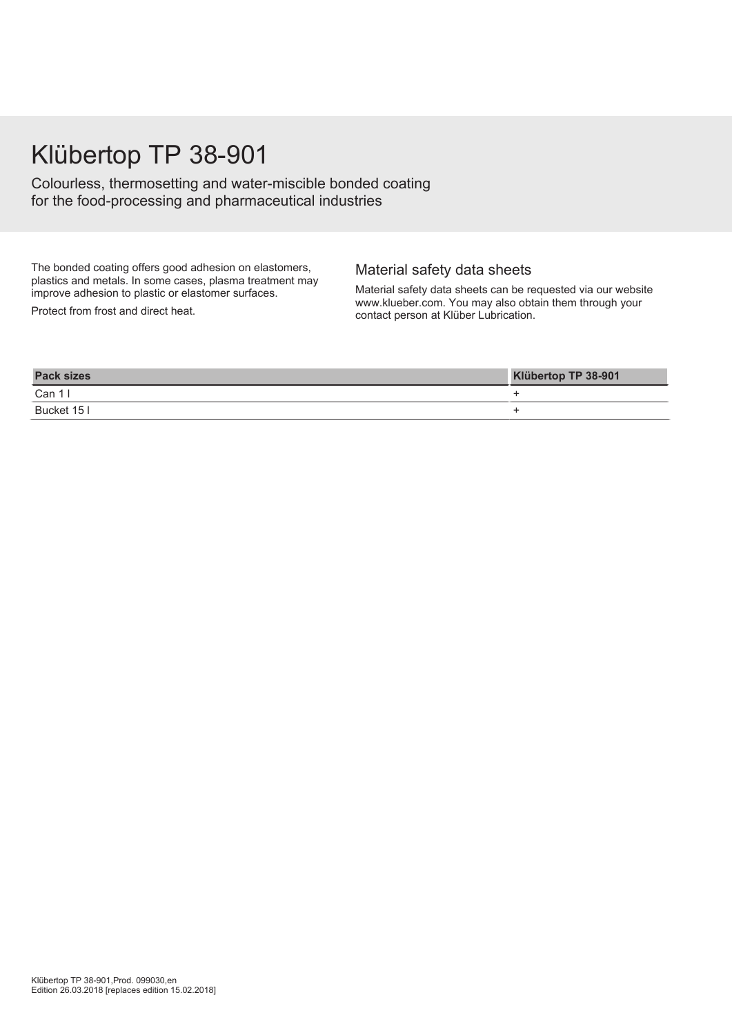## Klübertop TP 38-901

Colourless, thermosetting and water-miscible bonded coating for the food-processing and pharmaceutical industries

The bonded coating offers good adhesion on elastomers, plastics and metals. In some cases, plasma treatment may improve adhesion to plastic or elastomer surfaces.

Protect from frost and direct heat.

### Material safety data sheets

Material safety data sheets can be requested via our website www.klueber.com. You may also obtain them through your contact person at Klüber Lubrication.

| <b>Pack sizes</b> | Klübertop TP 38-901 |
|-------------------|---------------------|
| Can $11$          |                     |
| Bucket 15 I       |                     |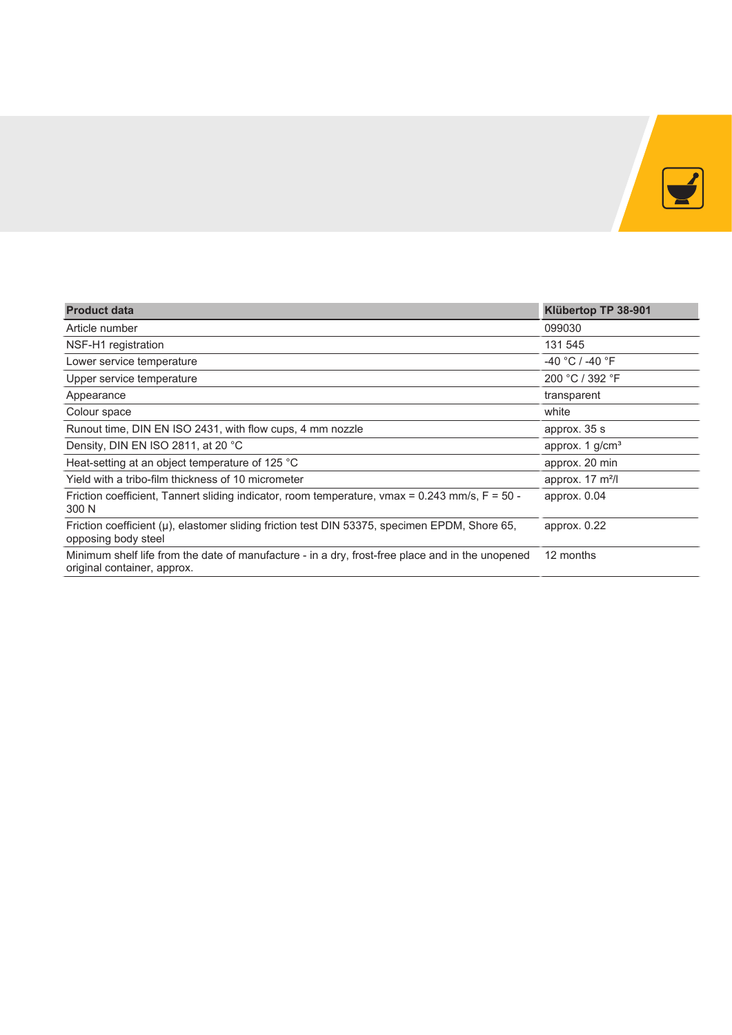

| <b>Product data</b>                                                                                                             | Klübertop TP 38-901         |  |  |  |  |  |  |
|---------------------------------------------------------------------------------------------------------------------------------|-----------------------------|--|--|--|--|--|--|
| Article number                                                                                                                  | 099030                      |  |  |  |  |  |  |
| NSF-H1 registration                                                                                                             | 131 545                     |  |  |  |  |  |  |
| Lower service temperature                                                                                                       | $-40 °C$ / $-40 °F$         |  |  |  |  |  |  |
| Upper service temperature                                                                                                       | 200 °C / 392 °F             |  |  |  |  |  |  |
| Appearance                                                                                                                      | transparent                 |  |  |  |  |  |  |
| Colour space                                                                                                                    | white                       |  |  |  |  |  |  |
| Runout time, DIN EN ISO 2431, with flow cups, 4 mm nozzle                                                                       | approx. 35 s                |  |  |  |  |  |  |
| Density, DIN EN ISO 2811, at 20 °C                                                                                              | approx. 1 g/cm <sup>3</sup> |  |  |  |  |  |  |
| Heat-setting at an object temperature of 125 °C                                                                                 | approx. 20 min              |  |  |  |  |  |  |
| Yield with a tribo-film thickness of 10 micrometer                                                                              | approx. $17 \text{ m}^2$ /  |  |  |  |  |  |  |
| Friction coefficient, Tannert sliding indicator, room temperature, vmax = $0.243$ mm/s, F = $50$ -<br>300 N                     | approx. $0.04$              |  |  |  |  |  |  |
| Friction coefficient (µ), elastomer sliding friction test DIN 53375, specimen EPDM, Shore 65,<br>opposing body steel            | approx. $0.22$              |  |  |  |  |  |  |
| Minimum shelf life from the date of manufacture - in a dry, frost-free place and in the unopened<br>original container, approx. | 12 months                   |  |  |  |  |  |  |